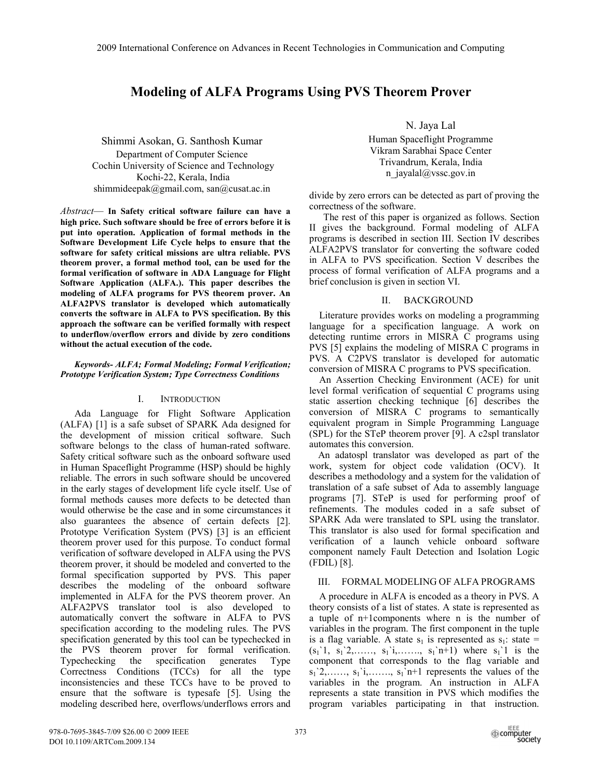# **Modeling of ALFA Programs Using PVS Theorem Prover**

Shimmi Asokan, G. Santhosh Kumar Department of Computer Science Cochin University of Science and Technology Kochi-22, Kerala, India shimmideepak@gmail.com, san@cusat.ac.in

*Abstract*— **In Safety critical software failure can have a high price. Such software should be free of errors before it is put into operation. Application of formal methods in the Software Development Life Cycle helps to ensure that the software for safety critical missions are ultra reliable. PVS theorem prover, a formal method tool, can be used for the formal verification of software in ADA Language for Flight Software Application (ALFA.). This paper describes the modeling of ALFA programs for PVS theorem prover. An ALFA2PVS translator is developed which automatically converts the software in ALFA to PVS specification. By this approach the software can be verified formally with respect to underflow/overflow errors and divide by zero conditions without the actual execution of the code.** 

## *Keywords- ALFA; Formal Modeling; Formal Verification; Prototype Verification System; Type Correctness Conditions*

## I. INTRODUCTION

Ada Language for Flight Software Application (ALFA) [1] is a safe subset of SPARK Ada designed for the development of mission critical software. Such software belongs to the class of human-rated software. Safety critical software such as the onboard software used in Human Spaceflight Programme (HSP) should be highly reliable. The errors in such software should be uncovered in the early stages of development life cycle itself. Use of formal methods causes more defects to be detected than would otherwise be the case and in some circumstances it also guarantees the absence of certain defects [2]. Prototype Verification System (PVS) [3] is an efficient theorem prover used for this purpose. To conduct formal verification of software developed in ALFA using the PVS theorem prover, it should be modeled and converted to the formal specification supported by PVS. This paper describes the modeling of the onboard software implemented in ALFA for the PVS theorem prover. An ALFA2PVS translator tool is also developed to automatically convert the software in ALFA to PVS specification according to the modeling rules. The PVS specification generated by this tool can be typechecked in the PVS theorem prover for formal verification. Typechecking the specification generates Type Correctness Conditions (TCCs) for all the type inconsistencies and these TCCs have to be proved to ensure that the software is typesafe [5]. Using the modeling described here, overflows/underflows errors and

N. Jaya Lal

Human Spaceflight Programme Vikram Sarabhai Space Center Trivandrum, Kerala, India n\_jayalal@vssc.gov.in

divide by zero errors can be detected as part of proving the correctness of the software.

The rest of this paper is organized as follows. Section II gives the background. Formal modeling of ALFA programs is described in section III. Section IV describes ALFA2PVS translator for converting the software coded in ALFA to PVS specification. Section V describes the process of formal verification of ALFA programs and a brief conclusion is given in section VI.

# II. BACKGROUND

 Literature provides works on modeling a programming language for a specification language. A work on detecting runtime errors in MISRA C programs using PVS [5] explains the modeling of MISRA C programs in PVS. A C2PVS translator is developed for automatic conversion of MISRA C programs to PVS specification.

 An Assertion Checking Environment (ACE) for unit level formal verification of sequential C programs using static assertion checking technique [6] describes the conversion of MISRA C programs to semantically equivalent program in Simple Programming Language (SPL) for the STeP theorem prover [9]. A c2spl translator automates this conversion.

An adatospl translator was developed as part of the work, system for object code validation (OCV). It describes a methodology and a system for the validation of translation of a safe subset of Ada to assembly language programs [7]. STeP is used for performing proof of refinements. The modules coded in a safe subset of SPARK Ada were translated to SPL using the translator. This translator is also used for formal specification and verification of a launch vehicle onboard software component namely Fault Detection and Isolation Logic (FDIL) [8].

# III. FORMAL MODELING OF ALFA PROGRAMS

 A procedure in ALFA is encoded as a theory in PVS. A theory consists of a list of states. A state is represented as a tuple of n+1components where n is the number of variables in the program. The first component in the tuple is a flag variable. A state  $s_1$  is represented as  $s_1$ : state =  $(s_1'1, s_1'2, \ldots, s_1'i, \ldots, s_1'n+1)$  where  $s_1'1$  is the component that corresponds to the flag variable and  $s_1$ '2,……,  $s_1$ 'i,……,  $s_1$ 'n+1 represents the values of the variables in the program. An instruction in ALFA represents a state transition in PVS which modifies the program variables participating in that instruction.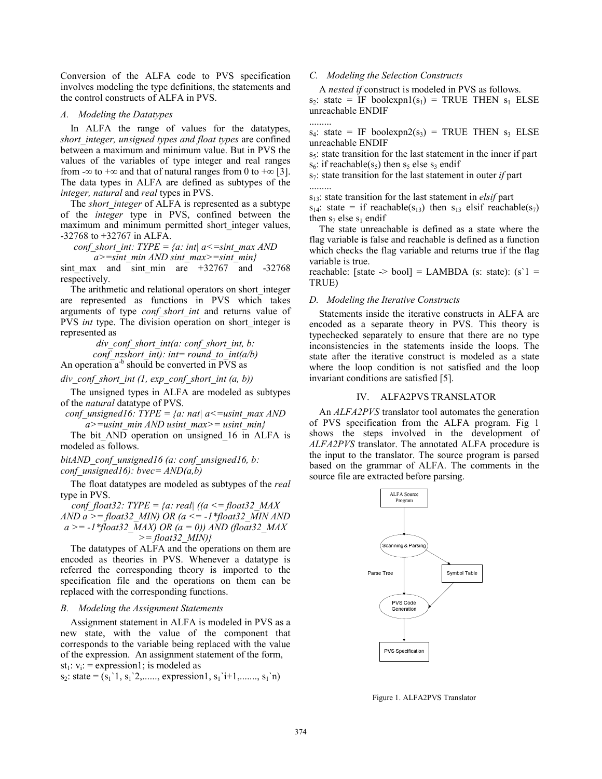Conversion of the ALFA code to PVS specification involves modeling the type definitions, the statements and the control constructs of ALFA in PVS.

## *A. Modeling the Datatypes*

 In ALFA the range of values for the datatypes, *short\_integer, unsigned types and float types* are confined between a maximum and minimum value. But in PVS the values of the variables of type integer and real ranges from -∞ to +∞ and that of natural ranges from 0 to +∞ [3]. The data types in ALFA are defined as subtypes of the *integer, natural* and *real* types in PVS.

The *short* integer of ALFA is represented as a subtype of the *integer* type in PVS, confined between the maximum and minimum permitted short integer values, -32768 to +32767 in ALFA.

*conf\_short\_int: TYPE = {a: int| a<=sint\_max AND* 

*a>=sint\_min AND sint\_max>=sint\_min}*  sint max and sint min are  $+32767$  and  $-32768$ respectively.

 The arithmetic and relational operators on short\_integer are represented as functions in PVS which takes arguments of type *conf\_short\_int* and returns value of PVS *int* type. The division operation on short integer is represented as

> *div\_conf\_short\_int(a: conf\_short\_int, b: conf\_nzshort\_int): int= round\_to\_int(a/b)*

An operation  $a^{-b}$  should be converted in PVS as

*div\_conf\_short\_int (1, exp\_conf\_short\_int (a, b))* 

 The unsigned types in ALFA are modeled as subtypes of the *natural* datatype of PVS.

*conf* unsigned16: TYPE = {a: nat|  $a \le$  = usint\_max AND *a>=usint\_min AND usint\_max>= usint\_min}* 

The bit AND operation on unsigned 16 in ALFA is modeled as follows.

*bitAND\_conf\_unsigned16 (a: conf\_unsigned16, b: conf\_unsigned16): bvec= AND(a,b)* 

 The float datatypes are modeled as subtypes of the *real* type in PVS.

*conf* float32: TYPE = {a: real| ((a  $\leq$  = float32 MAX) *AND a >= float32\_MIN) OR (a <= -1\*float32\_MIN AND a >= -1\*float32\_MAX) OR (a = 0)) AND (float32\_MAX >= float32\_MIN)}* 

 The datatypes of ALFA and the operations on them are encoded as theories in PVS. Whenever a datatype is referred the corresponding theory is imported to the specification file and the operations on them can be replaced with the corresponding functions.

## *B. Modeling the Assignment Statements*

 Assignment statement in ALFA is modeled in PVS as a new state, with the value of the component that corresponds to the variable being replaced with the value of the expression. An assignment statement of the form, st<sub>1</sub>:  $v_i$ : = expression1; is modeled as

 $s_2$ : state =  $(s_1, s_1, s_2, \ldots,$  expression1,  $s_1, s_1, \ldots, s_1, s_1)$ 

## *C. Modeling the Selection Constructs*

A *nested if* construct is modeled in PVS as follows.

 $s_2$ : state = IF boolexpn1( $s_1$ ) = TRUE THEN  $s_1$  ELSE unreachable ENDIF .........

 $s_4$ : state = IF boolexpn2( $s_3$ ) = TRUE THEN  $s_3$  ELSE unreachable ENDIF

s<sub>5</sub>: state transition for the last statement in the inner if part  $s_6$ : if reachable( $s_5$ ) then  $s_5$  else  $s_3$  endif

s7: state transition for the last statement in outer *if* part .........

s13: state transition for the last statement in *elsif* part

 $s_{14}$ : state = if reachable( $s_{13}$ ) then  $s_{13}$  elsif reachable( $s_{7}$ ) then  $s_7$  else  $s_1$  endif

 The state unreachable is defined as a state where the flag variable is false and reachable is defined as a function which checks the flag variable and returns true if the flag variable is true.

reachable: [state  $\rightarrow$  bool] = LAMBDA (s: state): (s'1 = TRUE)

#### *D. Modeling the Iterative Constructs*

 Statements inside the iterative constructs in ALFA are encoded as a separate theory in PVS. This theory is typechecked separately to ensure that there are no type inconsistencies in the statements inside the loops. The state after the iterative construct is modeled as a state where the loop condition is not satisfied and the loop invariant conditions are satisfied [5].

## IV. ALFA2PVS TRANSLATOR

 An *ALFA2PVS* translator tool automates the generation of PVS specification from the ALFA program. Fig 1 shows the steps involved in the development of *ALFA2PVS* translator. The annotated ALFA procedure is the input to the translator. The source program is parsed based on the grammar of ALFA. The comments in the source file are extracted before parsing.



Figure 1. ALFA2PVS Translator